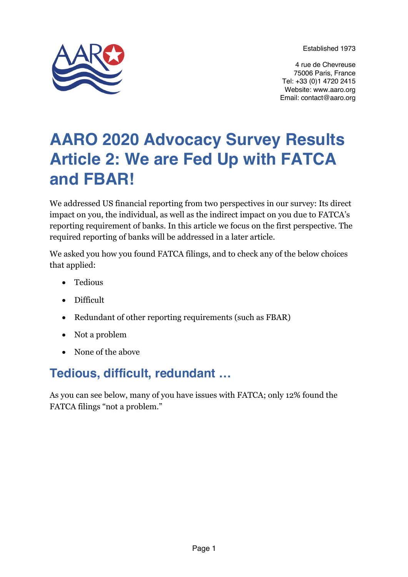Established 1973



4 rue de Chevreuse 75006 Paris, France Tel: +33 (0)1 4720 2415 Website: www.aaro.org Email: contact@aaro.org

# **AARO 2020 Advocacy Survey Results Article 2: We are Fed Up with FATCA and FBAR!**

We addressed US financial reporting from two perspectives in our survey: Its direct impact on you, the individual, as well as the indirect impact on you due to FATCA's reporting requirement of banks. In this article we focus on the first perspective. The required reporting of banks will be addressed in a later article.

We asked you how you found FATCA filings, and to check any of the below choices that applied:

- Tedious
- Difficult
- Redundant of other reporting requirements (such as FBAR)
- Not a problem
- None of the above

# **Tedious, difficult, redundant …**

As you can see below, many of you have issues with FATCA; only 12% found the FATCA filings "not a problem."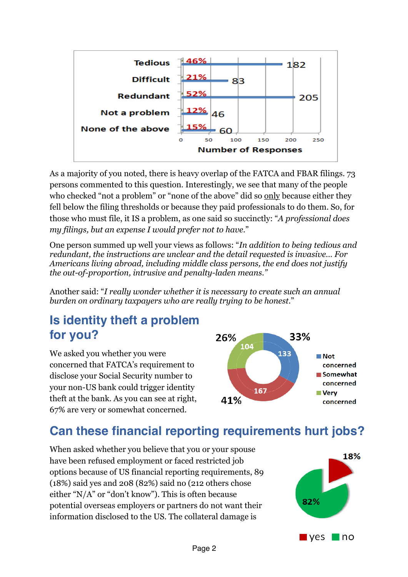

As a majority of you noted, there is heavy overlap of the FATCA and FBAR filings. 73 persons commented to this question. Interestingly, we see that many of the people who checked "not a problem" or "none of the above" did so only because either they fell below the filing thresholds or because they paid professionals to do them. So, for those who must file, it IS a problem, as one said so succinctly: "*A professional does my filings, but an expense I would prefer not to have*."

One person summed up well your views as follows: "*In addition to being tedious and redundant, the instructions are unclear and the detail requested is invasive… For Americans living abroad, including middle class persons, the end does not justify the out-of-proportion, intrusive and penalty-laden means."*

Another said: "*I really wonder whether it is necessary to create such an annual burden on ordinary taxpayers who are really trying to be honest*."

### **Is identity theft a problem for you?**

We asked you whether you were concerned that FATCA's requirement to disclose your Social Security number to your non-US bank could trigger identity theft at the bank. As you can see at right, 67% are very or somewhat concerned.



# **Can these financial reporting requirements hurt jobs?**

When asked whether you believe that you or your spouse have been refused employment or faced restricted job options because of US financial reporting requirements, 89 (18%) said yes and 208 (82%) said no (212 others chose either "N/A" or "don't know"). This is often because potential overseas employers or partners do not want their information disclosed to the US. The collateral damage is